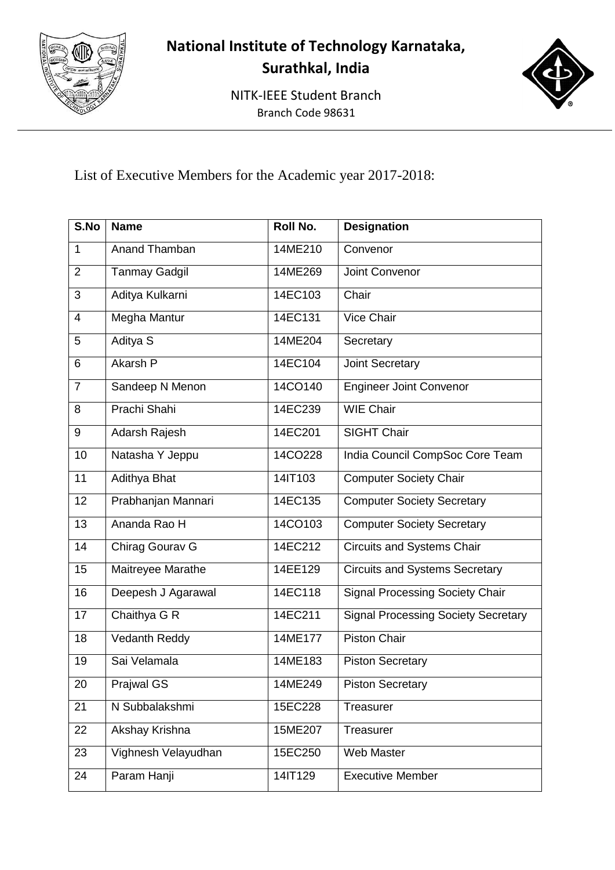

## **National Institute of Technology Karnataka, Surathkal, India**

NITK-IEEE Student Branch Branch Code 98631



List of Executive Members for the Academic year 2017-2018:

| S.No           | <b>Name</b>          | <b>Roll No.</b> | <b>Designation</b>                         |
|----------------|----------------------|-----------------|--------------------------------------------|
| $\mathbf{1}$   | Anand Thamban        | 14ME210         | Convenor                                   |
| $\overline{2}$ | <b>Tanmay Gadgil</b> | 14ME269         | Joint Convenor                             |
| 3              | Aditya Kulkarni      | 14EC103         | Chair                                      |
| $\overline{4}$ | Megha Mantur         | 14EC131         | <b>Vice Chair</b>                          |
| 5              | Aditya S             | 14ME204         | Secretary                                  |
| 6              | <b>Akarsh P</b>      | 14EC104         | <b>Joint Secretary</b>                     |
| $\overline{7}$ | Sandeep N Menon      | 14CO140         | <b>Engineer Joint Convenor</b>             |
| 8              | Prachi Shahi         | 14EC239         | <b>WIE Chair</b>                           |
| 9              | Adarsh Rajesh        | 14EC201         | <b>SIGHT Chair</b>                         |
| 10             | Natasha Y Jeppu      | 14CO228         | India Council CompSoc Core Team            |
| 11             | Adithya Bhat         | 14IT103         | <b>Computer Society Chair</b>              |
| 12             | Prabhanjan Mannari   | 14EC135         | <b>Computer Society Secretary</b>          |
| 13             | Ananda Rao H         | 14CO103         | <b>Computer Society Secretary</b>          |
| 14             | Chirag Gourav G      | 14EC212         | <b>Circuits and Systems Chair</b>          |
| 15             | Maitreyee Marathe    | 14EE129         | <b>Circuits and Systems Secretary</b>      |
| 16             | Deepesh J Agarawal   | 14EC118         | <b>Signal Processing Society Chair</b>     |
| 17             | Chaithya G R         | 14EC211         | <b>Signal Processing Society Secretary</b> |
| 18             | Vedanth Reddy        | 14ME177         | Piston Chair                               |
| 19             | Sai Velamala         | 14ME183         | <b>Piston Secretary</b>                    |
| 20             | <b>Prajwal GS</b>    | 14ME249         | <b>Piston Secretary</b>                    |
| 21             | N Subbalakshmi       | 15EC228         | Treasurer                                  |
| 22             | Akshay Krishna       | 15ME207         | Treasurer                                  |
| 23             | Vighnesh Velayudhan  | 15EC250         | Web Master                                 |
| 24             | Param Hanji          | 14IT129         | <b>Executive Member</b>                    |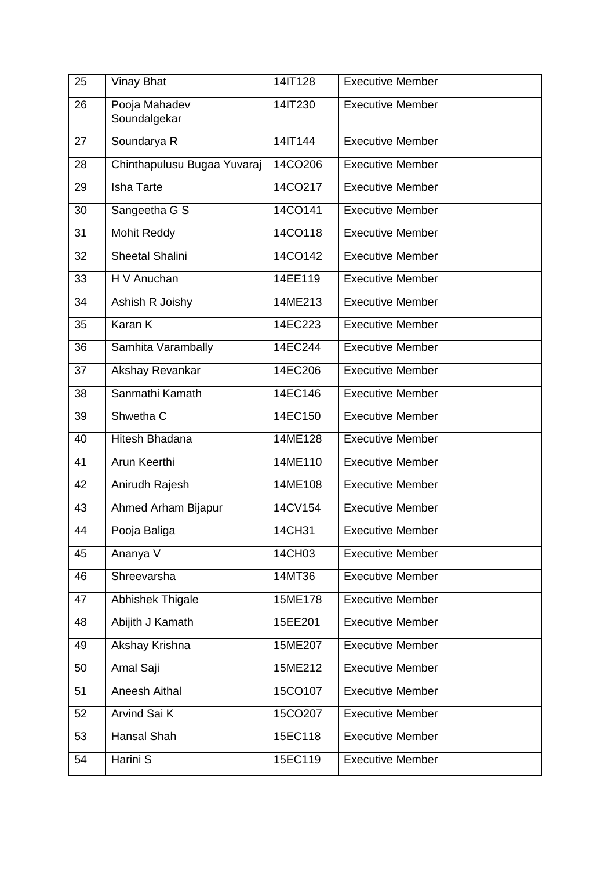| 25 | <b>Vinay Bhat</b>             | 14IT128 | <b>Executive Member</b> |
|----|-------------------------------|---------|-------------------------|
| 26 | Pooja Mahadev<br>Soundalgekar | 14IT230 | <b>Executive Member</b> |
| 27 | Soundarya R                   | 14IT144 | <b>Executive Member</b> |
| 28 | Chinthapulusu Bugaa Yuvaraj   | 14CO206 | <b>Executive Member</b> |
| 29 | <b>Isha Tarte</b>             | 14CO217 | <b>Executive Member</b> |
| 30 | Sangeetha G S                 | 14CO141 | <b>Executive Member</b> |
| 31 | Mohit Reddy                   | 14CO118 | <b>Executive Member</b> |
| 32 | <b>Sheetal Shalini</b>        | 14CO142 | <b>Executive Member</b> |
| 33 | H V Anuchan                   | 14EE119 | <b>Executive Member</b> |
| 34 | Ashish R Joishy               | 14ME213 | <b>Executive Member</b> |
| 35 | Karan K                       | 14EC223 | <b>Executive Member</b> |
| 36 | Samhita Varambally            | 14EC244 | <b>Executive Member</b> |
| 37 | Akshay Revankar               | 14EC206 | <b>Executive Member</b> |
| 38 | Sanmathi Kamath               | 14EC146 | <b>Executive Member</b> |
| 39 | Shwetha C                     | 14EC150 | <b>Executive Member</b> |
| 40 | Hitesh Bhadana                | 14ME128 | <b>Executive Member</b> |
| 41 | Arun Keerthi                  | 14ME110 | <b>Executive Member</b> |
| 42 | Anirudh Rajesh                | 14ME108 | <b>Executive Member</b> |
| 43 | Ahmed Arham Bijapur           | 14CV154 | <b>Executive Member</b> |
| 44 | Pooja Baliga                  | 14CH31  | <b>Executive Member</b> |
| 45 | Ananya V                      | 14CH03  | <b>Executive Member</b> |
| 46 | Shreevarsha                   | 14MT36  | <b>Executive Member</b> |
| 47 | Abhishek Thigale              | 15ME178 | <b>Executive Member</b> |
| 48 | Abijith J Kamath              | 15EE201 | <b>Executive Member</b> |
| 49 | Akshay Krishna                | 15ME207 | <b>Executive Member</b> |
| 50 | Amal Saji                     | 15ME212 | <b>Executive Member</b> |
| 51 | Aneesh Aithal                 | 15CO107 | <b>Executive Member</b> |
| 52 | Arvind Sai K                  | 15CO207 | <b>Executive Member</b> |
| 53 | Hansal Shah                   | 15EC118 | <b>Executive Member</b> |
| 54 | Harini S                      | 15EC119 | <b>Executive Member</b> |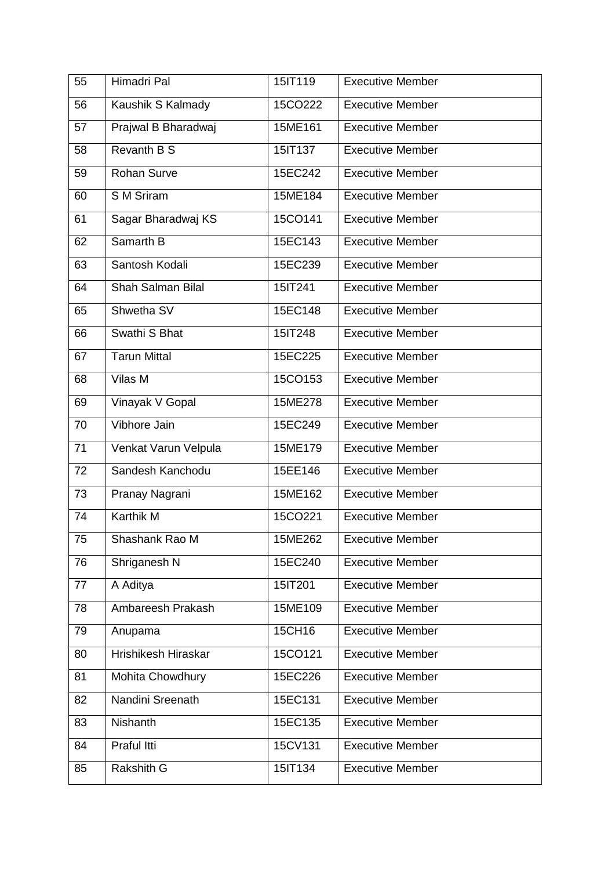| 55 | Himadri Pal          | 15IT119 | <b>Executive Member</b> |
|----|----------------------|---------|-------------------------|
| 56 | Kaushik S Kalmady    | 15CO222 | <b>Executive Member</b> |
| 57 | Prajwal B Bharadwaj  | 15ME161 | <b>Executive Member</b> |
| 58 | <b>Revanth B S</b>   | 15IT137 | <b>Executive Member</b> |
| 59 | <b>Rohan Surve</b>   | 15EC242 | <b>Executive Member</b> |
| 60 | S M Sriram           | 15ME184 | <b>Executive Member</b> |
| 61 | Sagar Bharadwaj KS   | 15CO141 | <b>Executive Member</b> |
| 62 | Samarth B            | 15EC143 | <b>Executive Member</b> |
| 63 | Santosh Kodali       | 15EC239 | <b>Executive Member</b> |
| 64 | Shah Salman Bilal    | 15IT241 | <b>Executive Member</b> |
| 65 | Shwetha SV           | 15EC148 | <b>Executive Member</b> |
| 66 | Swathi S Bhat        | 15IT248 | <b>Executive Member</b> |
| 67 | <b>Tarun Mittal</b>  | 15EC225 | <b>Executive Member</b> |
| 68 | Vilas M              | 15CO153 | <b>Executive Member</b> |
| 69 | Vinayak V Gopal      | 15ME278 | <b>Executive Member</b> |
| 70 | Vibhore Jain         | 15EC249 | <b>Executive Member</b> |
| 71 | Venkat Varun Velpula | 15ME179 | <b>Executive Member</b> |
| 72 | Sandesh Kanchodu     | 15EE146 | <b>Executive Member</b> |
| 73 | Pranay Nagrani       | 15ME162 | <b>Executive Member</b> |
| 74 | Karthik M            | 15CO221 | <b>Executive Member</b> |
| 75 | Shashank Rao M       | 15ME262 | <b>Executive Member</b> |
| 76 | Shriganesh N         | 15EC240 | <b>Executive Member</b> |
| 77 | A Aditya             | 15IT201 | <b>Executive Member</b> |
| 78 | Ambareesh Prakash    | 15ME109 | <b>Executive Member</b> |
| 79 | Anupama              | 15CH16  | <b>Executive Member</b> |
| 80 | Hrishikesh Hiraskar  | 15CO121 | <b>Executive Member</b> |
| 81 | Mohita Chowdhury     | 15EC226 | <b>Executive Member</b> |
| 82 | Nandini Sreenath     | 15EC131 | <b>Executive Member</b> |
| 83 | Nishanth             | 15EC135 | <b>Executive Member</b> |
| 84 | Praful Itti          | 15CV131 | <b>Executive Member</b> |
| 85 | Rakshith G           | 15IT134 | <b>Executive Member</b> |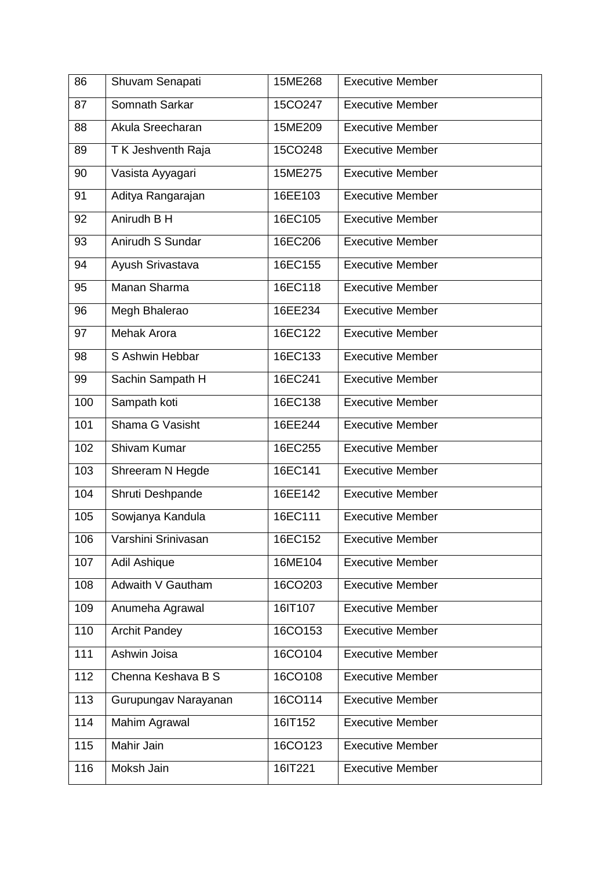| 86  | Shuvam Senapati      | 15ME268 | <b>Executive Member</b> |
|-----|----------------------|---------|-------------------------|
| 87  | Somnath Sarkar       | 15CO247 | <b>Executive Member</b> |
| 88  | Akula Sreecharan     | 15ME209 | <b>Executive Member</b> |
| 89  | T K Jeshventh Raja   | 15CO248 | <b>Executive Member</b> |
| 90  | Vasista Ayyagari     | 15ME275 | <b>Executive Member</b> |
| 91  | Aditya Rangarajan    | 16EE103 | <b>Executive Member</b> |
| 92  | Anirudh B H          | 16EC105 | <b>Executive Member</b> |
| 93  | Anirudh S Sundar     | 16EC206 | <b>Executive Member</b> |
| 94  | Ayush Srivastava     | 16EC155 | <b>Executive Member</b> |
| 95  | Manan Sharma         | 16EC118 | <b>Executive Member</b> |
| 96  | Megh Bhalerao        | 16EE234 | <b>Executive Member</b> |
| 97  | <b>Mehak Arora</b>   | 16EC122 | <b>Executive Member</b> |
| 98  | S Ashwin Hebbar      | 16EC133 | <b>Executive Member</b> |
| 99  | Sachin Sampath H     | 16EC241 | <b>Executive Member</b> |
| 100 | Sampath koti         | 16EC138 | <b>Executive Member</b> |
| 101 | Shama G Vasisht      | 16EE244 | <b>Executive Member</b> |
| 102 | Shivam Kumar         | 16EC255 | <b>Executive Member</b> |
| 103 | Shreeram N Hegde     | 16EC141 | <b>Executive Member</b> |
| 104 | Shruti Deshpande     | 16EE142 | <b>Executive Member</b> |
| 105 | Sowjanya Kandula     | 16EC111 | <b>Executive Member</b> |
| 106 | Varshini Srinivasan  | 16EC152 | Executive Member        |
| 107 | Adil Ashique         | 16ME104 | <b>Executive Member</b> |
| 108 | Adwaith V Gautham    | 16CO203 | <b>Executive Member</b> |
| 109 | Anumeha Agrawal      | 16IT107 | <b>Executive Member</b> |
| 110 | <b>Archit Pandey</b> | 16CO153 | <b>Executive Member</b> |
| 111 | Ashwin Joisa         | 16CO104 | <b>Executive Member</b> |
| 112 | Chenna Keshava B S   | 16CO108 | <b>Executive Member</b> |
| 113 | Gurupungav Narayanan | 16CO114 | <b>Executive Member</b> |
| 114 | Mahim Agrawal        | 16IT152 | <b>Executive Member</b> |
| 115 | Mahir Jain           | 16CO123 | <b>Executive Member</b> |
| 116 | Moksh Jain           | 16IT221 | <b>Executive Member</b> |